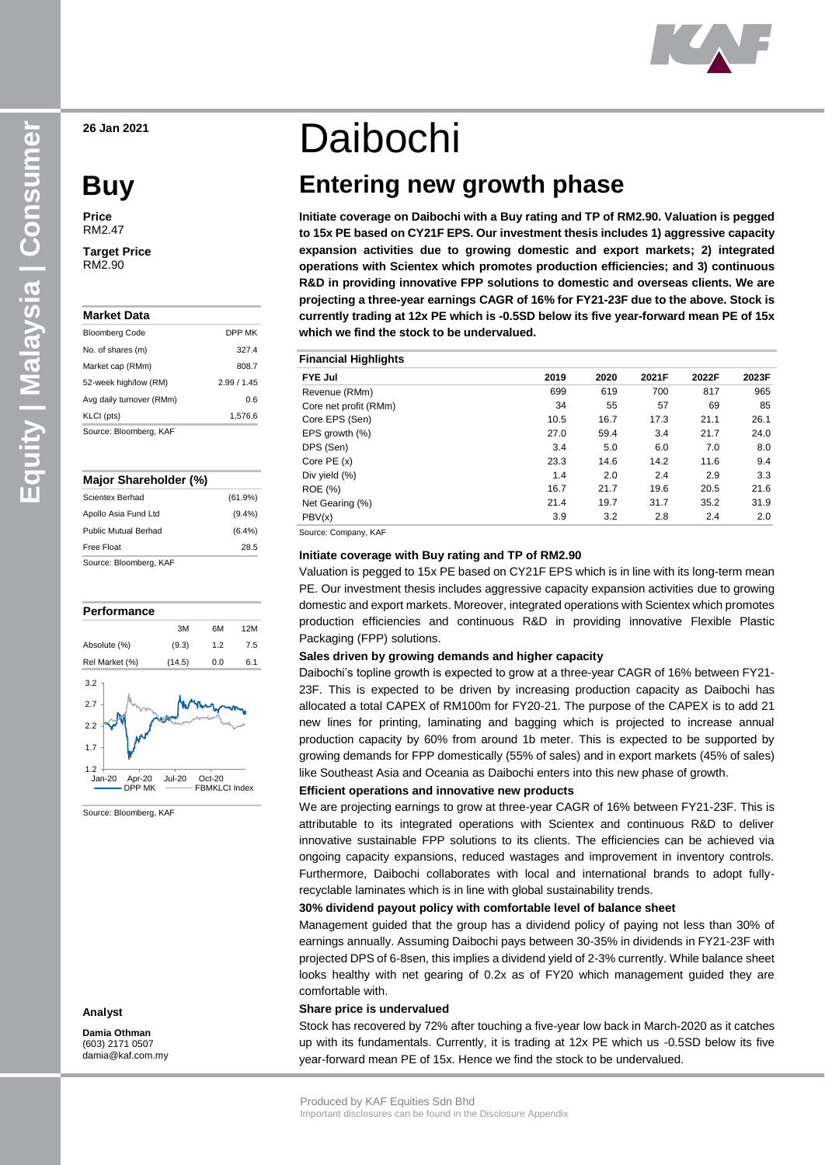**26 Jan 2021**

# **Buy**

**Price** RM2.47

**Target Price** RM2.90

| Market Data              |               |
|--------------------------|---------------|
| <b>Bloomberg Code</b>    | <b>DPP MK</b> |
| No. of shares (m)        | 3274          |
| Market cap (RMm)         | 808.7         |
| 52-week high/low (RM)    | 2.99/1.45     |
| Avg daily turnover (RMm) | 0.6           |
| KLCI (pts)               | 1,576.6       |
| Source: Bloomberg, KAF   |               |

#### **Major Shareholder (%)**

| 0. Di. 17 A F               |           |
|-----------------------------|-----------|
| Free Float                  | 28.5      |
| <b>Public Mutual Berhad</b> | $(6.4\%)$ |
| Apollo Asia Fund Ltd        | $(9.4\%)$ |
| Scientex Berhad             | (61.9%)   |
|                             |           |

Source: Bloomberg, KAF



Source: Bloomberg, KAF

#### **Analyst**

**Damia Othman** (603) 2171 0507 damia@kaf.com.my

# Daibochi

# **Entering new growth phase**

**Initiate coverage on Daibochi with a Buy rating and TP of RM2.90. Valuation is pegged to 15x PE based on CY21F EPS. Our investment thesis includes 1) aggressive capacity expansion activities due to growing domestic and export markets; 2) integrated operations with Scientex which promotes production efficiencies; and 3) continuous R&D in providing innovative FPP solutions to domestic and overseas clients. We are projecting a three-year earnings CAGR of 16% for FY21-23F due to the above. Stock is currently trading at 12x PE which is -0.5SD below its five year-forward mean PE of 15x which we find the stock to be undervalued.**

| <b>Financial Highlights</b> |      |      |       |       |       |
|-----------------------------|------|------|-------|-------|-------|
| <b>FYE Jul</b>              | 2019 | 2020 | 2021F | 2022F | 2023F |
| Revenue (RMm)               | 699  | 619  | 700   | 817   | 965   |
| Core net profit (RMm)       | 34   | 55   | 57    | 69    | 85    |
| Core EPS (Sen)              | 10.5 | 16.7 | 17.3  | 21.1  | 26.1  |
| EPS growth $(\%)$           | 27.0 | 59.4 | 3.4   | 21.7  | 24.0  |
| DPS (Sen)                   | 3.4  | 5.0  | 6.0   | 7.0   | 8.0   |
| Core $PE(x)$                | 23.3 | 14.6 | 14.2  | 11.6  | 9.4   |
| Div yield (%)               | 1.4  | 2.0  | 2.4   | 2.9   | 3.3   |
| <b>ROE</b> (%)              | 16.7 | 21.7 | 19.6  | 20.5  | 21.6  |
| Net Gearing (%)             | 21.4 | 19.7 | 31.7  | 35.2  | 31.9  |
| PBV(x)                      | 3.9  | 3.2  | 2.8   | 2.4   | 2.0   |

Source: Company, KAF

#### **Initiate coverage with Buy rating and TP of RM2.90**

Valuation is pegged to 15x PE based on CY21F EPS which is in line with its long-term mean PE. Our investment thesis includes aggressive capacity expansion activities due to growing domestic and export markets. Moreover, integrated operations with Scientex which promotes production efficiencies and continuous R&D in providing innovative Flexible Plastic Packaging (FPP) solutions.

#### **Sales driven by growing demands and higher capacity**

Daibochi's topline growth is expected to grow at a three-year CAGR of 16% between FY21- 23F. This is expected to be driven by increasing production capacity as Daibochi has allocated a total CAPEX of RM100m for FY20-21. The purpose of the CAPEX is to add 21 new lines for printing, laminating and bagging which is projected to increase annual production capacity by 60% from around 1b meter. This is expected to be supported by growing demands for FPP domestically (55% of sales) and in export markets (45% of sales) like Southeast Asia and Oceania as Daibochi enters into this new phase of growth.

#### **Efficient operations and innovative new products**

We are projecting earnings to grow at three-year CAGR of 16% between FY21-23F. This is attributable to its integrated operations with Scientex and continuous R&D to deliver innovative sustainable FPP solutions to its clients. The efficiencies can be achieved via ongoing capacity expansions, reduced wastages and improvement in inventory controls. Furthermore, Daibochi collaborates with local and international brands to adopt fullyrecyclable laminates which is in line with global sustainability trends.

#### **30% dividend payout policy with comfortable level of balance sheet**

Management guided that the group has a dividend policy of paying not less than 30% of earnings annually. Assuming Daibochi pays between 30-35% in dividends in FY21-23F with projected DPS of 6-8sen, this implies a dividend yield of 2-3% currently. While balance sheet looks healthy with net gearing of 0.2x as of FY20 which management guided they are comfortable with.

#### **Share price is undervalued**

Stock has recovered by 72% after touching a five-year low back in March-2020 as it catches up with its fundamentals. Currently, it is trading at 12x PE which us -0.5SD below its five year-forward mean PE of 15x. Hence we find the stock to be undervalued.

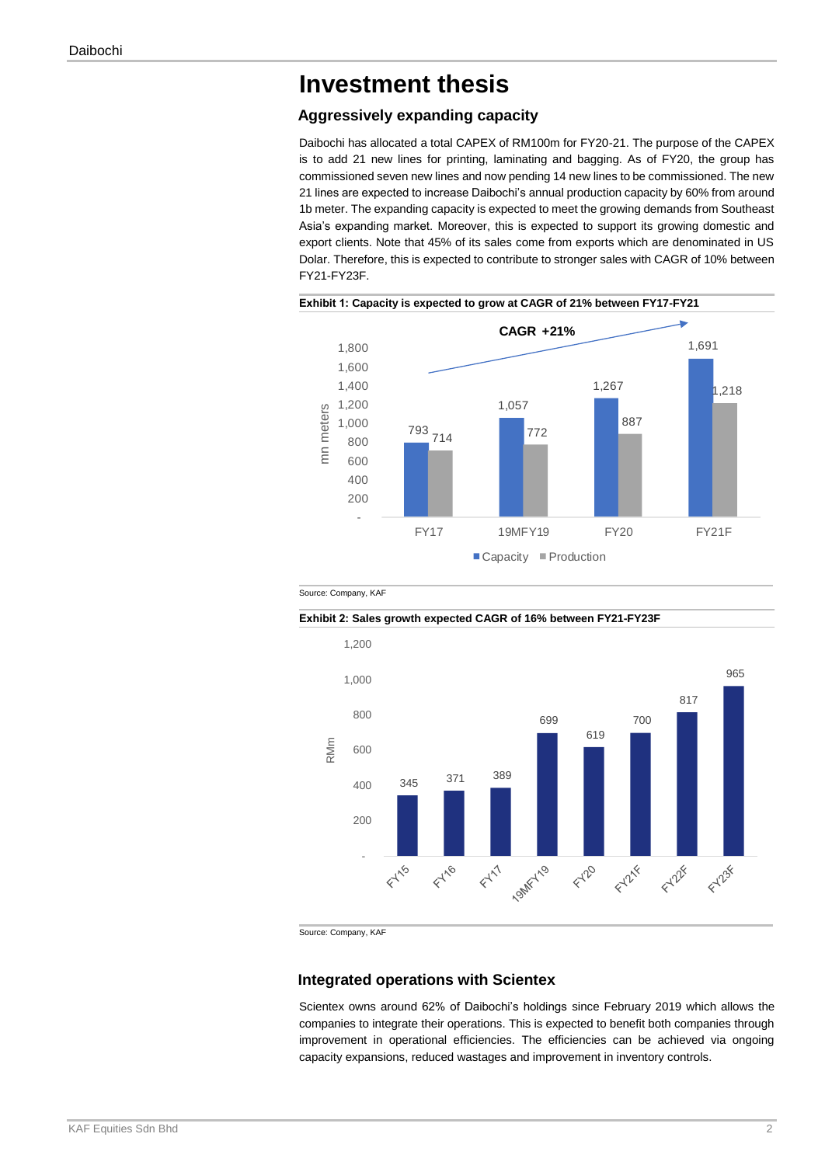### **Investment thesis**

#### **Aggressively expanding capacity**

Daibochi has allocated a total CAPEX of RM100m for FY20-21. The purpose of the CAPEX is to add 21 new lines for printing, laminating and bagging. As of FY20, the group has commissioned seven new lines and now pending 14 new lines to be commissioned. The new 21 lines are expected to increase Daibochi's annual production capacity by 60% from around 1b meter. The expanding capacity is expected to meet the growing demands from Southeast Asia's expanding market. Moreover, this is expected to support its growing domestic and export clients. Note that 45% of its sales come from exports which are denominated in US Dolar. Therefore, this is expected to contribute to stronger sales with CAGR of 10% between FY21-FY23F.







**Exhibit 2: Sales growth expected CAGR of 16% between FY21-FY23F**

Source: Company, KAF

#### **Integrated operations with Scientex**

Scientex owns around 62% of Daibochi's holdings since February 2019 which allows the companies to integrate their operations. This is expected to benefit both companies through improvement in operational efficiencies. The efficiencies can be achieved via ongoing capacity expansions, reduced wastages and improvement in inventory controls.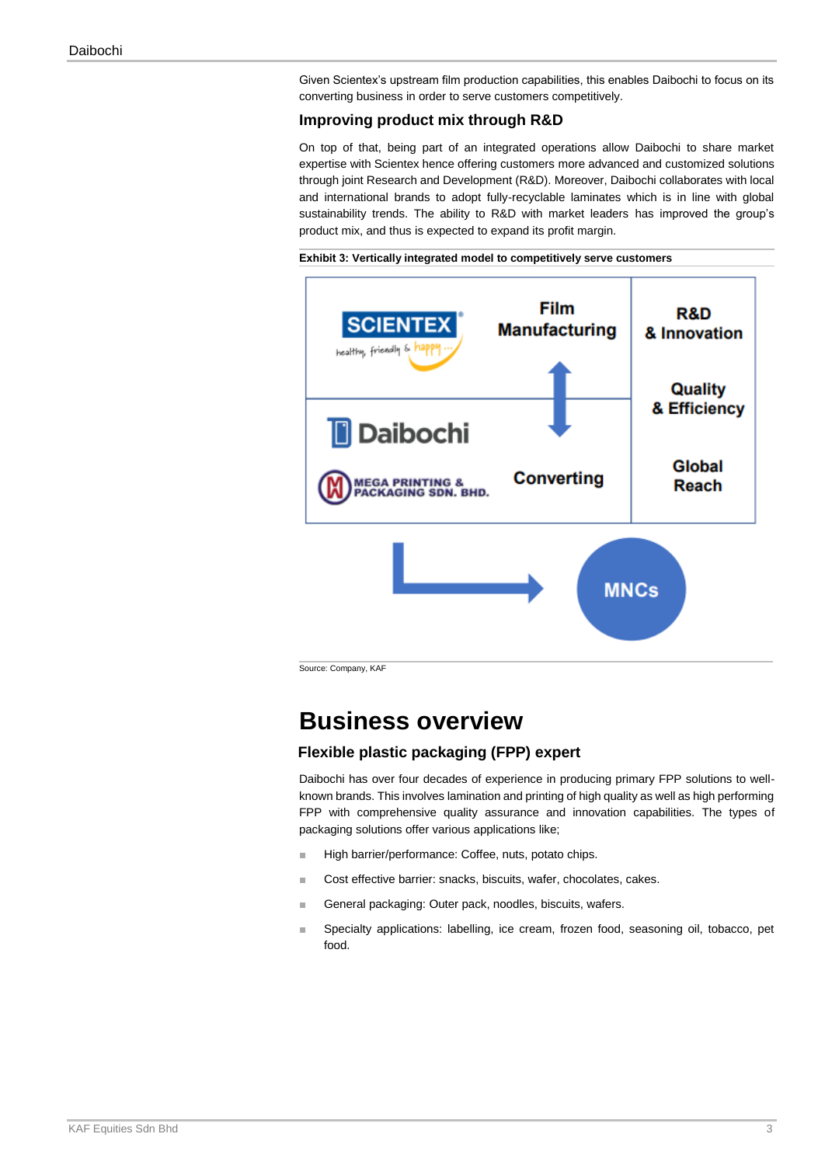Given Scientex's upstream film production capabilities, this enables Daibochi to focus on its converting business in order to serve customers competitively.

#### **Improving product mix through R&D**

On top of that, being part of an integrated operations allow Daibochi to share market expertise with Scientex hence offering customers more advanced and customized solutions through joint Research and Development (R&D). Moreover, Daibochi collaborates with local and international brands to adopt fully-recyclable laminates which is in line with global sustainability trends. The ability to R&D with market leaders has improved the group's product mix, and thus is expected to expand its profit margin.

**Exhibit 3: Vertically integrated model to competitively serve customers** 



Source: Company, KAF

## **Business overview**

#### **Flexible plastic packaging (FPP) expert**

Daibochi has over four decades of experience in producing primary FPP solutions to wellknown brands. This involves lamination and printing of high quality as well as high performing FPP with comprehensive quality assurance and innovation capabilities. The types of packaging solutions offer various applications like;

- High barrier/performance: Coffee, nuts, potato chips.
- Cost effective barrier: snacks, biscuits, wafer, chocolates, cakes.
- General packaging: Outer pack, noodles, biscuits, wafers.
- Specialty applications: labelling, ice cream, frozen food, seasoning oil, tobacco, pet food.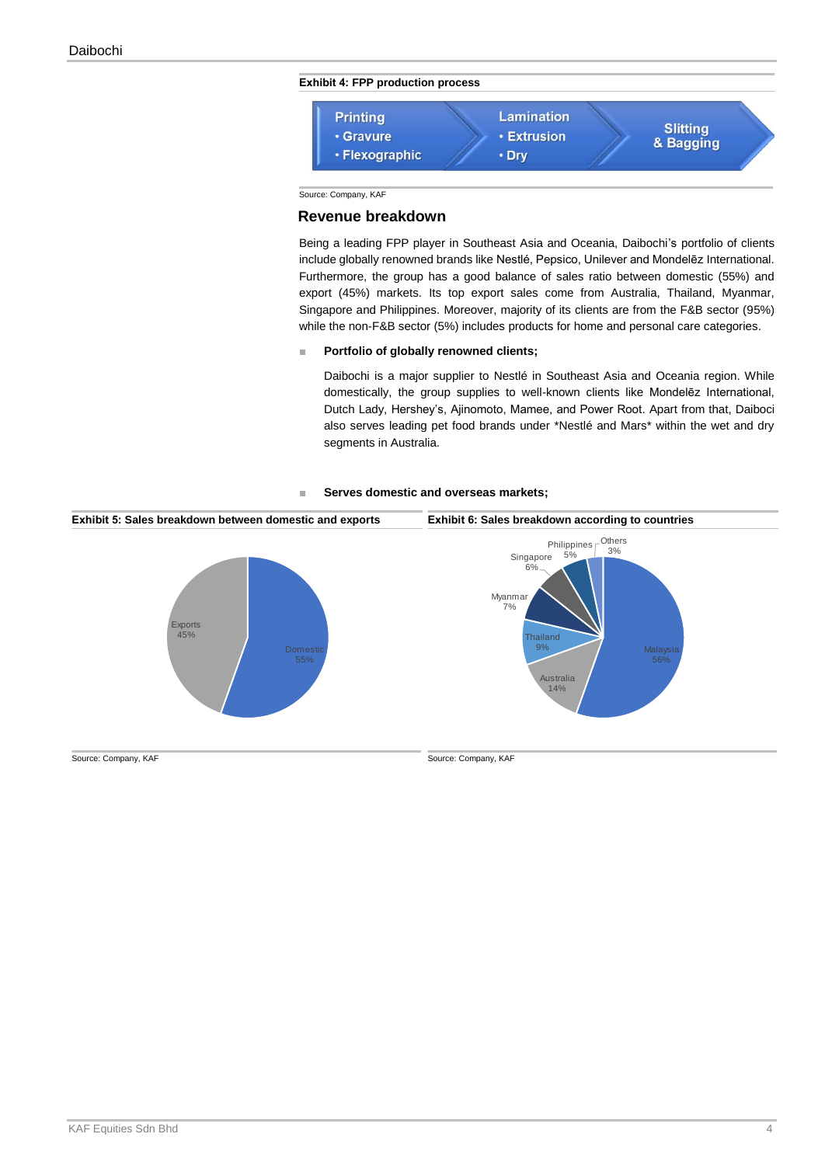#### **Exhibit 4: FPP production process**



Source: Company, KAF

#### **Revenue breakdown**

Being a leading FPP player in Southeast Asia and Oceania, Daibochi's portfolio of clients include globally renowned brands like Nestlé, Pepsico, Unilever and Mondelēz International. Furthermore, the group has a good balance of sales ratio between domestic (55%) and export (45%) markets. Its top export sales come from Australia, Thailand, Myanmar, Singapore and Philippines. Moreover, majority of its clients are from the F&B sector (95%) while the non-F&B sector (5%) includes products for home and personal care categories.

#### ■ **Portfolio of globally renowned clients;**

Daibochi is a major supplier to Nestlé in Southeast Asia and Oceania region. While domestically, the group supplies to well-known clients like Mondelēz International, Dutch Lady, Hershey's, Ajinomoto, Mamee, and Power Root. Apart from that, Daiboci also serves leading pet food brands under \*Nestlé and Mars\* within the wet and dry segments in Australia.

#### Serves domestic and overseas markets;



Source: Company, KAF Source: Company, KAF Source: Company, KAF Source: Company, KAF Source: Company, KAF Source: Company, KAF Source: Company, KAF Source: Company, KAF Source: Company, KAF Source: Company, KAF Source: Comp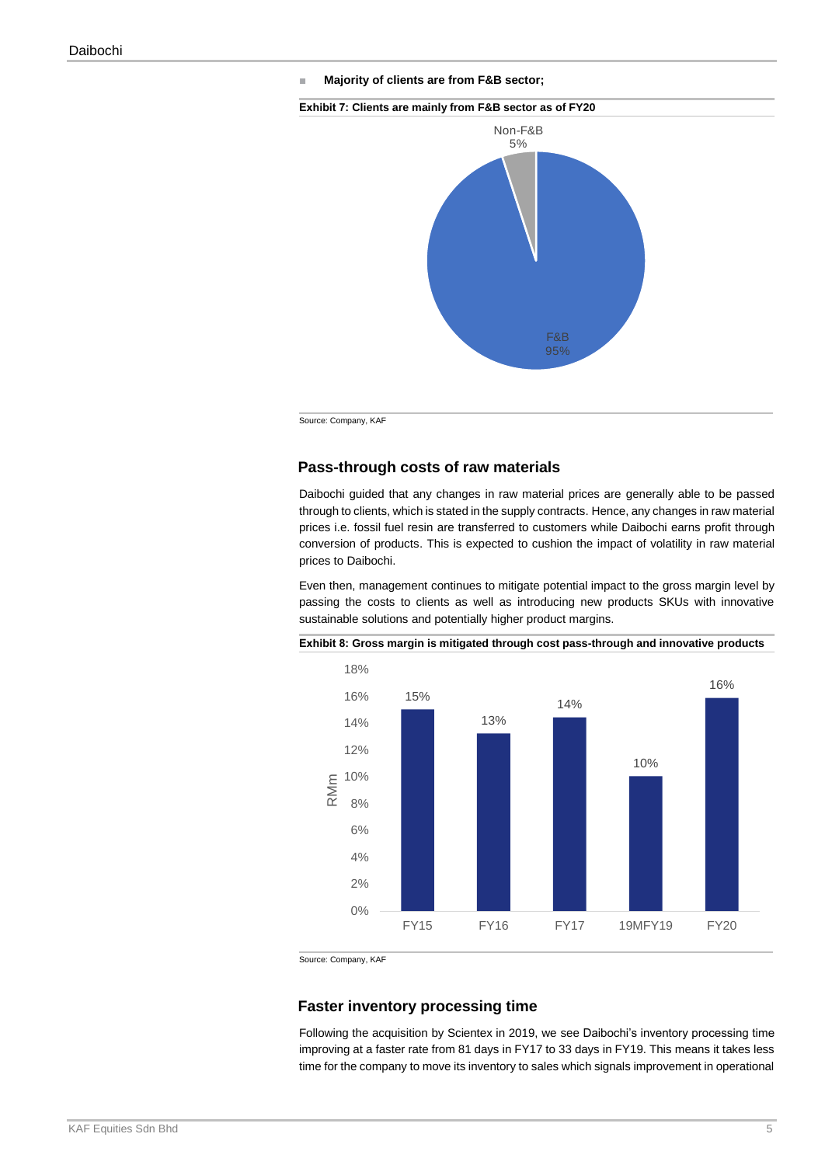■ **Majority of clients are from F&B sector;**





Source: Company, KAF

#### **Pass-through costs of raw materials**

Daibochi guided that any changes in raw material prices are generally able to be passed through to clients, which is stated in the supply contracts. Hence, any changes in raw material prices i.e. fossil fuel resin are transferred to customers while Daibochi earns profit through conversion of products. This is expected to cushion the impact of volatility in raw material prices to Daibochi.

Even then, management continues to mitigate potential impact to the gross margin level by passing the costs to clients as well as introducing new products SKUs with innovative sustainable solutions and potentially higher product margins.



**Exhibit 8: Gross margin is mitigated through cost pass-through and innovative products**

Source: Company, KAF

#### **Faster inventory processing time**

Following the acquisition by Scientex in 2019, we see Daibochi's inventory processing time improving at a faster rate from 81 days in FY17 to 33 days in FY19. This means it takes less time for the company to move its inventory to sales which signals improvement in operational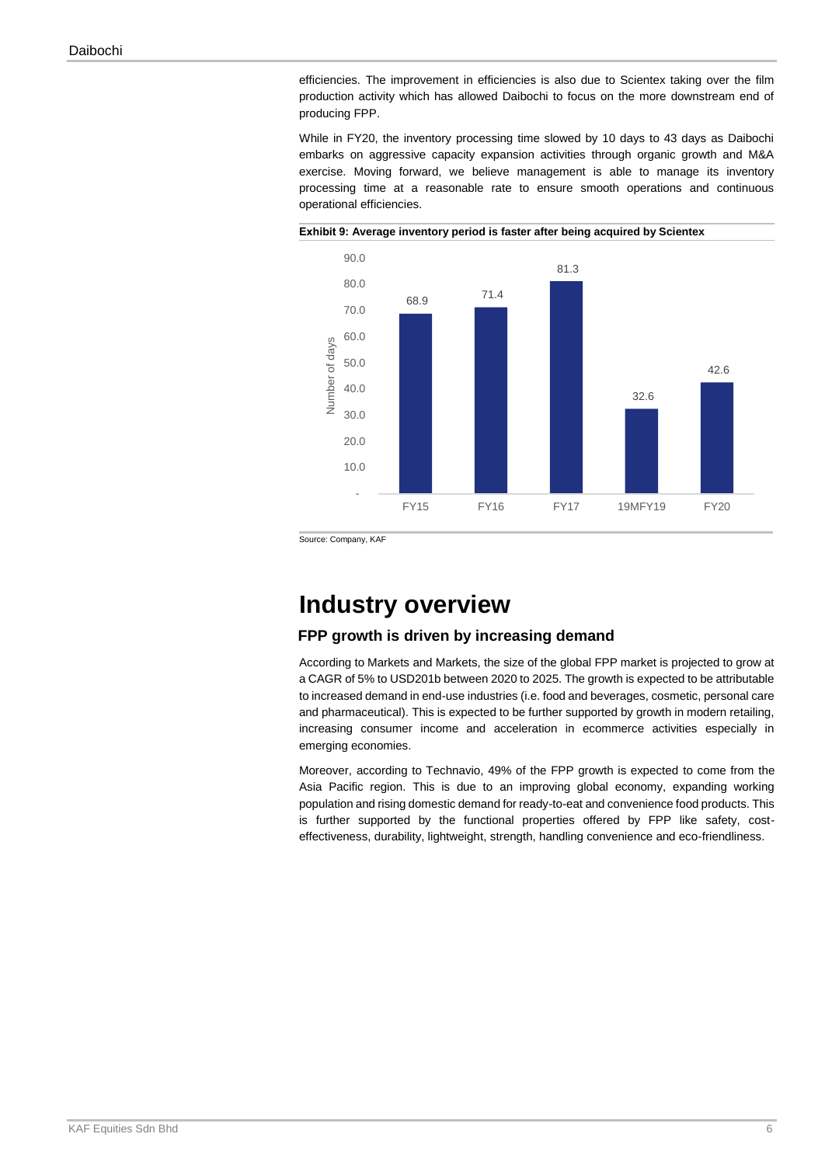efficiencies. The improvement in efficiencies is also due to Scientex taking over the film production activity which has allowed Daibochi to focus on the more downstream end of producing FPP.

While in FY20, the inventory processing time slowed by 10 days to 43 days as Daibochi embarks on aggressive capacity expansion activities through organic growth and M&A exercise. Moving forward, we believe management is able to manage its inventory processing time at a reasonable rate to ensure smooth operations and continuous operational efficiencies.





Source: Company, KAF

### **Industry overview**

#### **FPP growth is driven by increasing demand**

According to Markets and Markets, the size of the global FPP market is projected to grow at a CAGR of 5% to USD201b between 2020 to 2025. The growth is expected to be attributable to increased demand in end-use industries (i.e. food and beverages, cosmetic, personal care and pharmaceutical). This is expected to be further supported by growth in modern retailing, increasing consumer income and acceleration in ecommerce activities especially in emerging economies.

Moreover, according to Technavio, 49% of the FPP growth is expected to come from the Asia Pacific region. This is due to an improving global economy, expanding working population and rising domestic demand for ready-to-eat and convenience food products. This is further supported by the functional properties offered by FPP like safety, costeffectiveness, durability, lightweight, strength, handling convenience and eco-friendliness.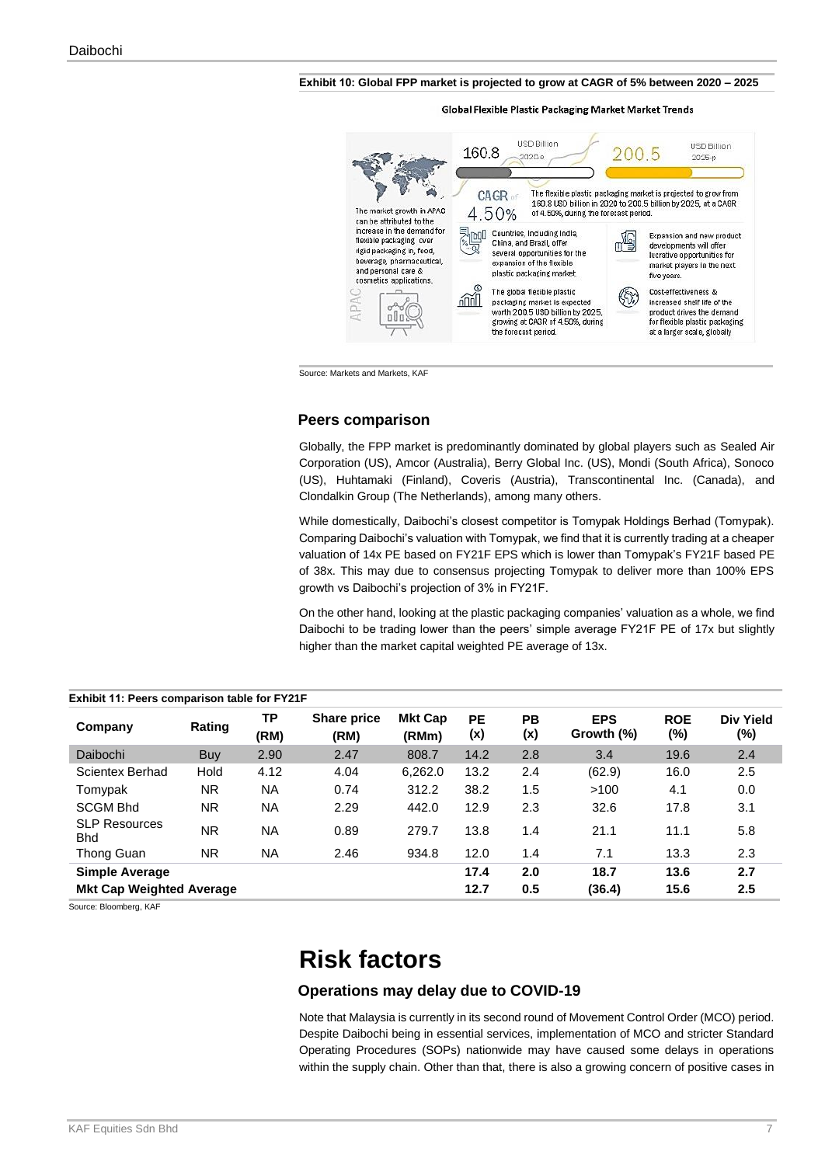#### **Exhibit 10: Global FPP market is projected to grow at CAGR of 5% between 2020 – 2025**

Global Flexible Plastic Packaging Market Market Trends



Source: Markets and Markets, KAF

#### **Peers comparison**

Globally, the FPP market is predominantly dominated by global players such as Sealed Air Corporation (US), Amcor (Australia), Berry Global Inc. (US), Mondi (South Africa), Sonoco (US), Huhtamaki (Finland), Coveris (Austria), Transcontinental Inc. (Canada), and Clondalkin Group (The Netherlands), among many others.

While domestically, Daibochi's closest competitor is Tomypak Holdings Berhad (Tomypak). Comparing Daibochi's valuation with Tomypak, we find that it is currently trading at a cheaper valuation of 14x PE based on FY21F EPS which is lower than Tomypak's FY21F based PE of 38x. This may due to consensus projecting Tomypak to deliver more than 100% EPS growth vs Daibochi's projection of 3% in FY21F.

On the other hand, looking at the plastic packaging companies' valuation as a whole, we find Daibochi to be trading lower than the peers' simple average FY21F PE of 17x but slightly higher than the market capital weighted PE average of 13x.

| Exhibit 11: Peers comparison table for FY21F |           |            |                            |                         |                  |           |                          |                   |                             |
|----------------------------------------------|-----------|------------|----------------------------|-------------------------|------------------|-----------|--------------------------|-------------------|-----------------------------|
| Company                                      | Rating    | ТP<br>(RM) | <b>Share price</b><br>(RM) | <b>Mkt Cap</b><br>(RMm) | <b>PE</b><br>(x) | PB<br>(x) | <b>EPS</b><br>Growth (%) | <b>ROE</b><br>(%) | <b>Div Yield</b><br>$(\% )$ |
| Daibochi                                     | Buy       | 2.90       | 2.47                       | 808.7                   | 14.2             | 2.8       | 3.4                      | 19.6              | 2.4                         |
| Scientex Berhad                              | Hold      | 4.12       | 4.04                       | 6,262.0                 | 13.2             | 2.4       | (62.9)                   | 16.0              | 2.5                         |
| Tomypak                                      | NR.       | <b>NA</b>  | 0.74                       | 312.2                   | 38.2             | 1.5       | >100                     | 4.1               | 0.0                         |
| <b>SCGM Bhd</b>                              | NR.       | <b>NA</b>  | 2.29                       | 442.0                   | 12.9             | 2.3       | 32.6                     | 17.8              | 3.1                         |
| <b>SLP Resources</b><br><b>Bhd</b>           | <b>NR</b> | <b>NA</b>  | 0.89                       | 279.7                   | 13.8             | 1.4       | 21.1                     | 11.1              | 5.8                         |
| Thong Guan                                   | NR.       | <b>NA</b>  | 2.46                       | 934.8                   | 12.0             | 1.4       | 7.1                      | 13.3              | 2.3                         |
| <b>Simple Average</b>                        |           |            |                            |                         | 17.4             | 2.0       | 18.7                     | 13.6              | 2.7                         |
| <b>Mkt Cap Weighted Average</b>              |           |            |                            |                         | 12.7             | 0.5       | (36.4)                   | 15.6              | 2.5                         |

Source: Bloomberg, KAF

# **Risk factors**

#### **Operations may delay due to COVID-19**

Note that Malaysia is currently in its second round of Movement Control Order (MCO) period. Despite Daibochi being in essential services, implementation of MCO and stricter Standard Operating Procedures (SOPs) nationwide may have caused some delays in operations within the supply chain. Other than that, there is also a growing concern of positive cases in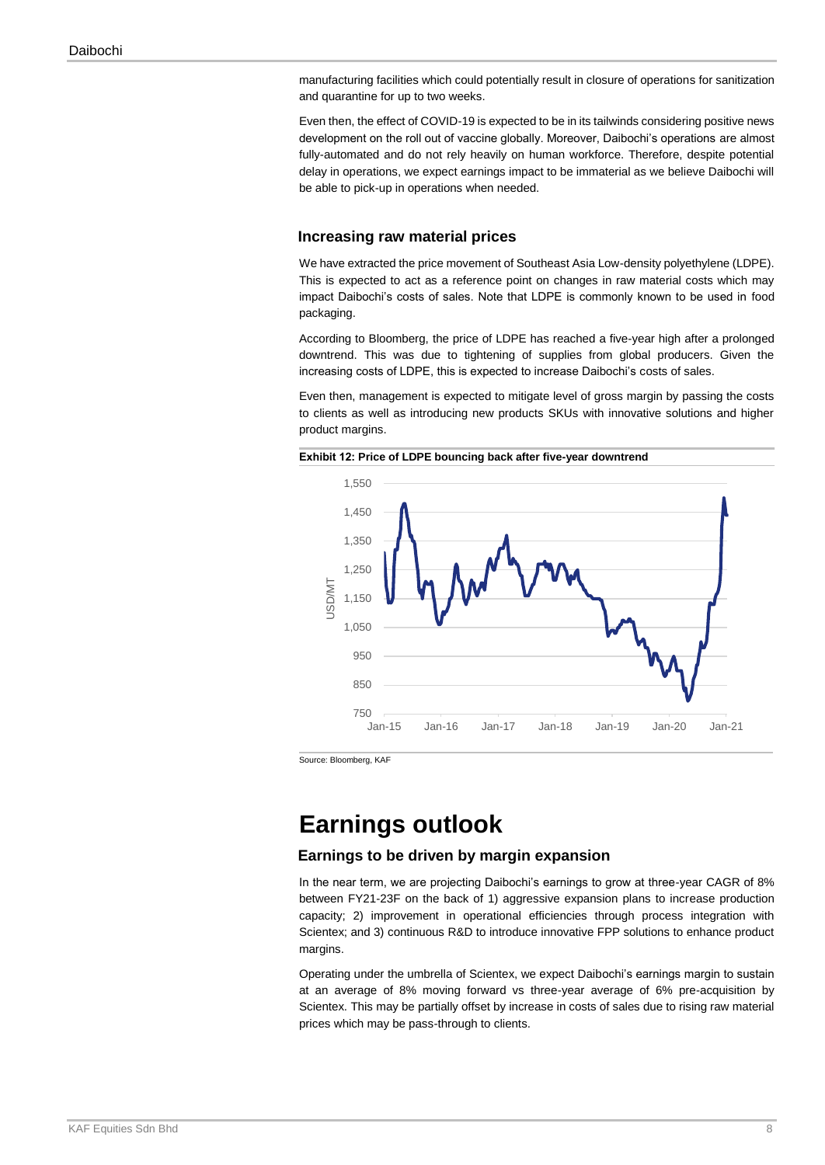manufacturing facilities which could potentially result in closure of operations for sanitization and quarantine for up to two weeks.

Even then, the effect of COVID-19 is expected to be in its tailwinds considering positive news development on the roll out of vaccine globally. Moreover, Daibochi's operations are almost fully-automated and do not rely heavily on human workforce. Therefore, despite potential delay in operations, we expect earnings impact to be immaterial as we believe Daibochi will be able to pick-up in operations when needed.

#### **Increasing raw material prices**

We have extracted the price movement of Southeast Asia Low-density polyethylene (LDPE). This is expected to act as a reference point on changes in raw material costs which may impact Daibochi's costs of sales. Note that LDPE is commonly known to be used in food packaging.

According to Bloomberg, the price of LDPE has reached a five-year high after a prolonged downtrend. This was due to tightening of supplies from global producers. Given the increasing costs of LDPE, this is expected to increase Daibochi's costs of sales.

Even then, management is expected to mitigate level of gross margin by passing the costs to clients as well as introducing new products SKUs with innovative solutions and higher product margins.



**Exhibit 12: Price of LDPE bouncing back after five-year downtrend**

Source: Bloomberg, KAF

# **Earnings outlook**

#### **Earnings to be driven by margin expansion**

In the near term, we are projecting Daibochi's earnings to grow at three-year CAGR of 8% between FY21-23F on the back of 1) aggressive expansion plans to increase production capacity; 2) improvement in operational efficiencies through process integration with Scientex; and 3) continuous R&D to introduce innovative FPP solutions to enhance product margins.

Operating under the umbrella of Scientex, we expect Daibochi's earnings margin to sustain at an average of 8% moving forward vs three-year average of 6% pre-acquisition by Scientex. This may be partially offset by increase in costs of sales due to rising raw material prices which may be pass-through to clients.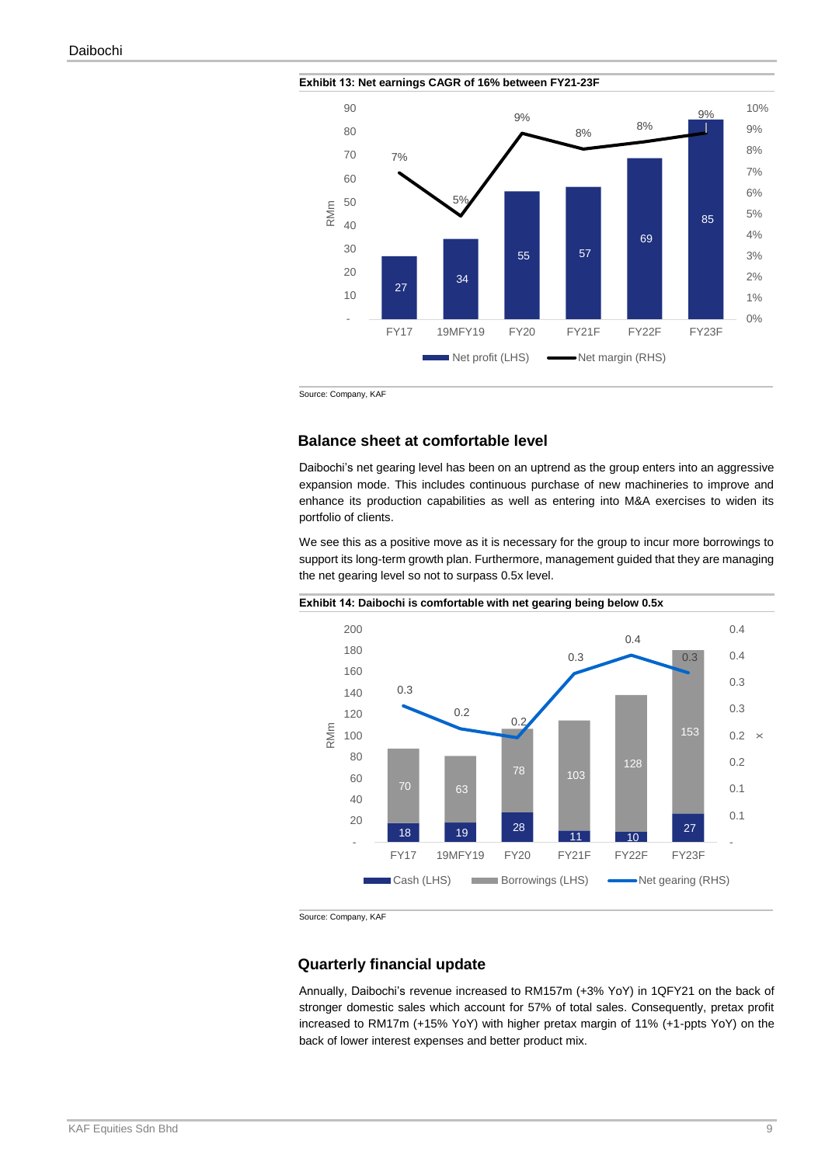

**Exhibit 13: Net earnings CAGR of 16% between FY21-23F**

Source: Company, KAF

#### **Balance sheet at comfortable level**

Daibochi's net gearing level has been on an uptrend as the group enters into an aggressive expansion mode. This includes continuous purchase of new machineries to improve and enhance its production capabilities as well as entering into M&A exercises to widen its portfolio of clients.

We see this as a positive move as it is necessary for the group to incur more borrowings to support its long-term growth plan. Furthermore, management guided that they are managing the net gearing level so not to surpass 0.5x level.



Source: Company, KAF

#### **Quarterly financial update**

Annually, Daibochi's revenue increased to RM157m (+3% YoY) in 1QFY21 on the back of stronger domestic sales which account for 57% of total sales. Consequently, pretax profit increased to RM17m (+15% YoY) with higher pretax margin of 11% (+1-ppts YoY) on the back of lower interest expenses and better product mix.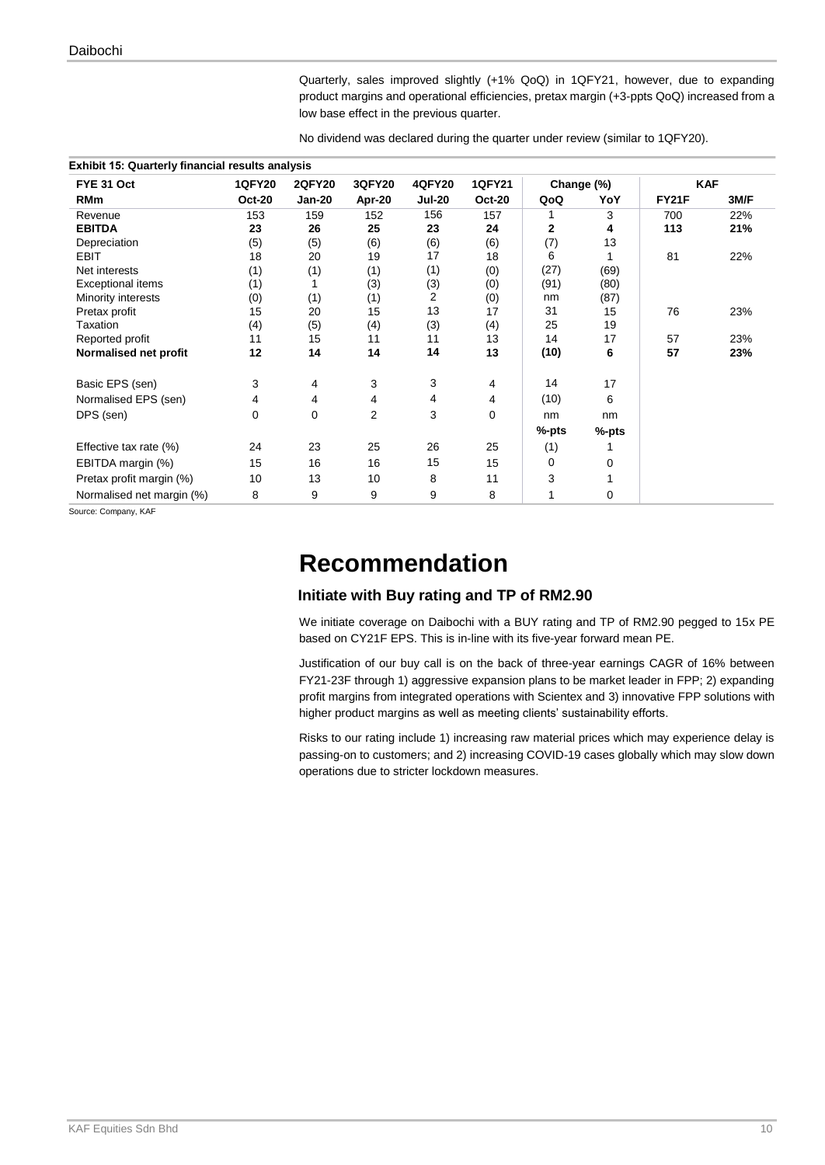Quarterly, sales improved slightly (+1% QoQ) in 1QFY21, however, due to expanding product margins and operational efficiencies, pretax margin (+3-ppts QoQ) increased from a low base effect in the previous quarter.

No dividend was declared during the quarter under review (similar to 1QFY20).

| FYE 31 Oct                | <b>1QFY20</b> | <b>2QFY20</b> | 3QFY20 | <b>4QFY20</b> | <b>1QFY21</b> | Change (%) |       | <b>KAF</b> |      |
|---------------------------|---------------|---------------|--------|---------------|---------------|------------|-------|------------|------|
| <b>RMm</b>                | <b>Oct-20</b> | Jan-20        | Apr-20 | <b>Jul-20</b> | <b>Oct-20</b> | QoQ        | YoY   | FY21F      | 3M/F |
| Revenue                   | 153           | 159           | 152    | 156           | 157           |            | 3     | 700        | 22%  |
| <b>EBITDA</b>             | 23            | 26            | 25     | 23            | 24            | 2          | 4     | 113        | 21%  |
| Depreciation              | (5)           | (5)           | (6)    | (6)           | (6)           | (7)        | 13    |            |      |
| <b>EBIT</b>               | 18            | 20            | 19     | 17            | 18            | 6          |       | 81         | 22%  |
| Net interests             | (1)           | (1)           | (1)    | (1)           | (0)           | (27)       | (69)  |            |      |
| Exceptional items         | (1)           |               | (3)    | (3)           | (0)           | (91)       | (80)  |            |      |
| Minority interests        | (0)           | (1)           | (1)    | 2             | (0)           | nm         | (87)  |            |      |
| Pretax profit             | 15            | 20            | 15     | 13            | 17            | 31         | 15    | 76         | 23%  |
| Taxation                  | (4)           | (5)           | (4)    | (3)           | (4)           | 25         | 19    |            |      |
| Reported profit           | 11            | 15            | 11     | 11            | 13            | 14         | 17    | 57         | 23%  |
| Normalised net profit     | 12            | 14            | 14     | 14            | 13            | (10)       | 6     | 57         | 23%  |
| Basic EPS (sen)           | 3             | 4             | 3      | 3             | 4             | 14         | 17    |            |      |
| Normalised EPS (sen)      | 4             | 4             | 4      | 4             | 4             | (10)       | 6     |            |      |
| DPS (sen)                 | $\Omega$      | 0             | 2      | 3             | $\Omega$      | nm         | nm    |            |      |
|                           |               |               |        |               |               | %-pts      | %-pts |            |      |
| Effective tax rate (%)    | 24            | 23            | 25     | 26            | 25            | (1)        |       |            |      |
| EBITDA margin (%)         | 15            | 16            | 16     | 15            | 15            | 0          | 0     |            |      |
| Pretax profit margin (%)  | 10            | 13            | 10     | 8             | 11            | 3          |       |            |      |
| Normalised net margin (%) | 8             | 9             | 9      | 9             | 8             |            | 0     |            |      |

Source: Company, KAF

# **Recommendation**

#### **Initiate with Buy rating and TP of RM2.90**

We initiate coverage on Daibochi with a BUY rating and TP of RM2.90 pegged to 15x PE based on CY21F EPS. This is in-line with its five-year forward mean PE.

Justification of our buy call is on the back of three-year earnings CAGR of 16% between FY21-23F through 1) aggressive expansion plans to be market leader in FPP; 2) expanding profit margins from integrated operations with Scientex and 3) innovative FPP solutions with higher product margins as well as meeting clients' sustainability efforts.

Risks to our rating include 1) increasing raw material prices which may experience delay is passing-on to customers; and 2) increasing COVID-19 cases globally which may slow down operations due to stricter lockdown measures.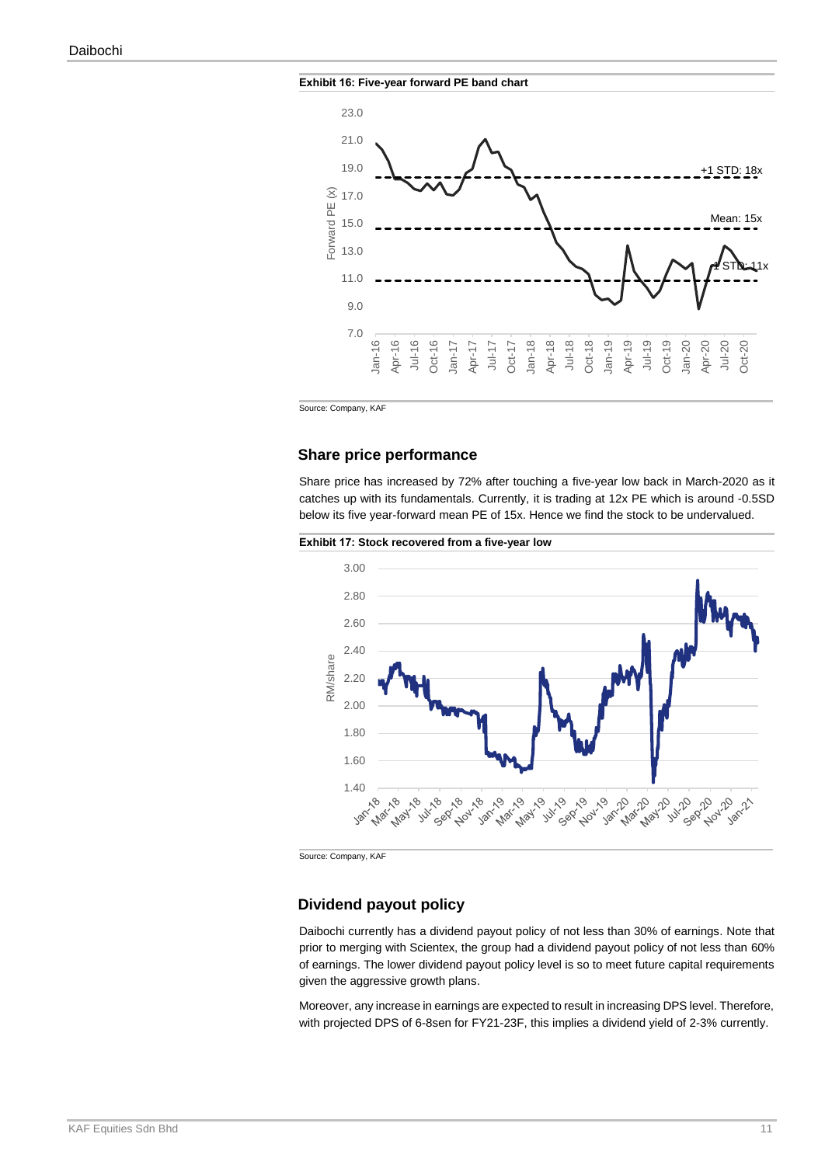



Source: Company, KAF

#### **Share price performance**

Share price has increased by 72% after touching a five-year low back in March-2020 as it catches up with its fundamentals. Currently, it is trading at 12x PE which is around -0.5SD below its five year-forward mean PE of 15x. Hence we find the stock to be undervalued.





Source: Company, KAF

#### **Dividend payout policy**

Daibochi currently has a dividend payout policy of not less than 30% of earnings. Note that prior to merging with Scientex, the group had a dividend payout policy of not less than 60% of earnings. The lower dividend payout policy level is so to meet future capital requirements given the aggressive growth plans.

Moreover, any increase in earnings are expected to result in increasing DPS level. Therefore, with projected DPS of 6-8sen for FY21-23F, this implies a dividend yield of 2-3% currently.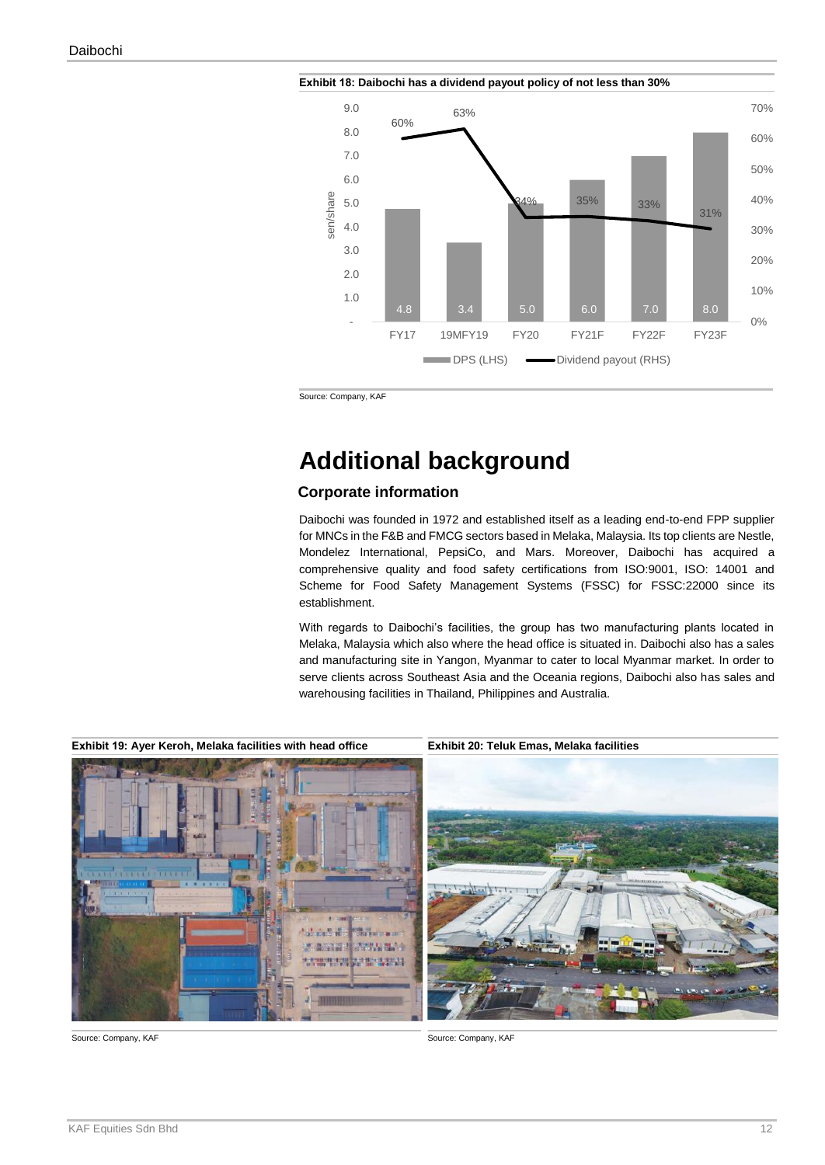

**Exhibit 18: Daibochi has a dividend payout policy of not less than 30%**

Source: Company, KAF

# **Additional background**

#### **Corporate information**

Daibochi was founded in 1972 and established itself as a leading end-to-end FPP supplier for MNCs in the F&B and FMCG sectors based in Melaka, Malaysia. Its top clients are Nestle, Mondelez International, PepsiCo, and Mars. Moreover, Daibochi has acquired a comprehensive quality and food safety certifications from ISO:9001, ISO: 14001 and Scheme for Food Safety Management Systems (FSSC) for FSSC:22000 since its establishment.

With regards to Daibochi's facilities, the group has two manufacturing plants located in Melaka, Malaysia which also where the head office is situated in. Daibochi also has a sales and manufacturing site in Yangon, Myanmar to cater to local Myanmar market. In order to serve clients across Southeast Asia and the Oceania regions, Daibochi also has sales and warehousing facilities in Thailand, Philippines and Australia.

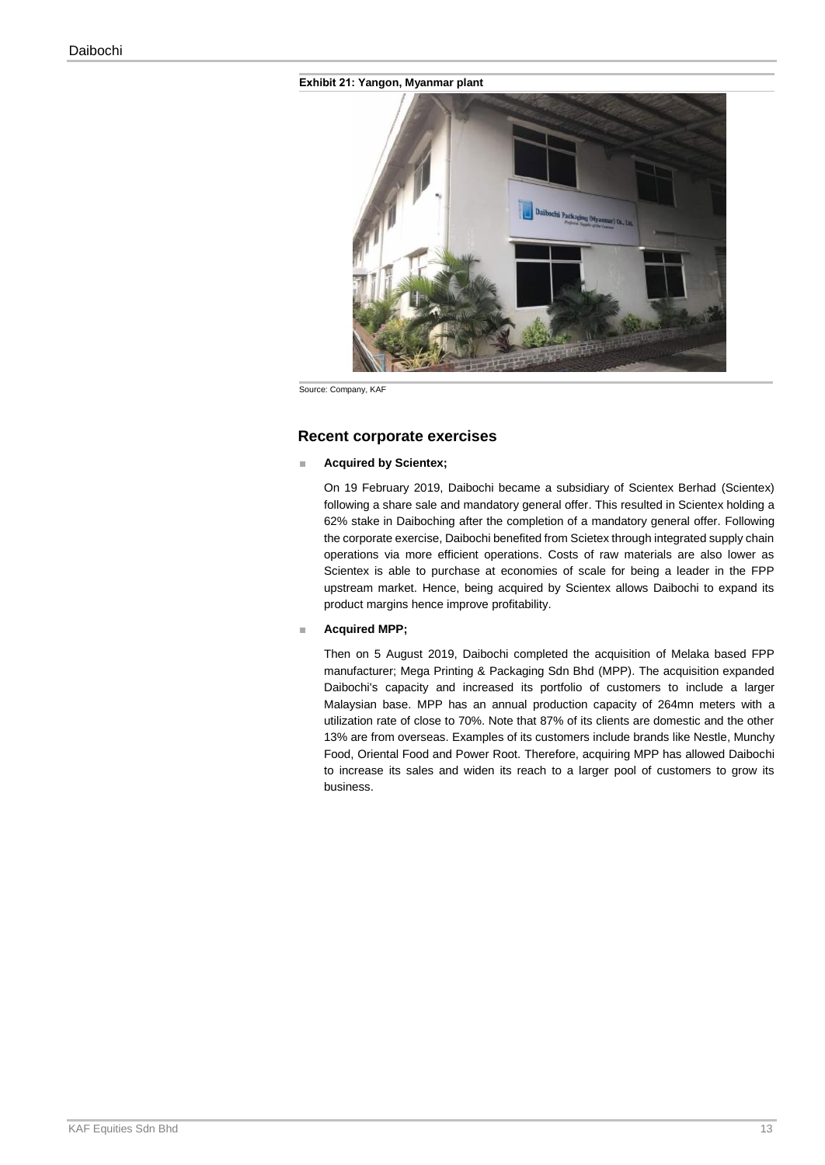#### **Exhibit 21: Yangon, Myanmar plant**



Source: Company, KAF

#### **Recent corporate exercises**

#### **Acquired by Scientex;**

On 19 February 2019, Daibochi became a subsidiary of Scientex Berhad (Scientex) following a share sale and mandatory general offer. This resulted in Scientex holding a 62% stake in Daiboching after the completion of a mandatory general offer. Following the corporate exercise, Daibochi benefited from Scietex through integrated supply chain operations via more efficient operations. Costs of raw materials are also lower as Scientex is able to purchase at economies of scale for being a leader in the FPP upstream market. Hence, being acquired by Scientex allows Daibochi to expand its product margins hence improve profitability.

#### ■ **Acquired MPP;**

Then on 5 August 2019, Daibochi completed the acquisition of Melaka based FPP manufacturer; Mega Printing & Packaging Sdn Bhd (MPP). The acquisition expanded Daibochi's capacity and increased its portfolio of customers to include a larger Malaysian base. MPP has an annual production capacity of 264mn meters with a utilization rate of close to 70%. Note that 87% of its clients are domestic and the other 13% are from overseas. Examples of its customers include brands like Nestle, Munchy Food, Oriental Food and Power Root. Therefore, acquiring MPP has allowed Daibochi to increase its sales and widen its reach to a larger pool of customers to grow its business.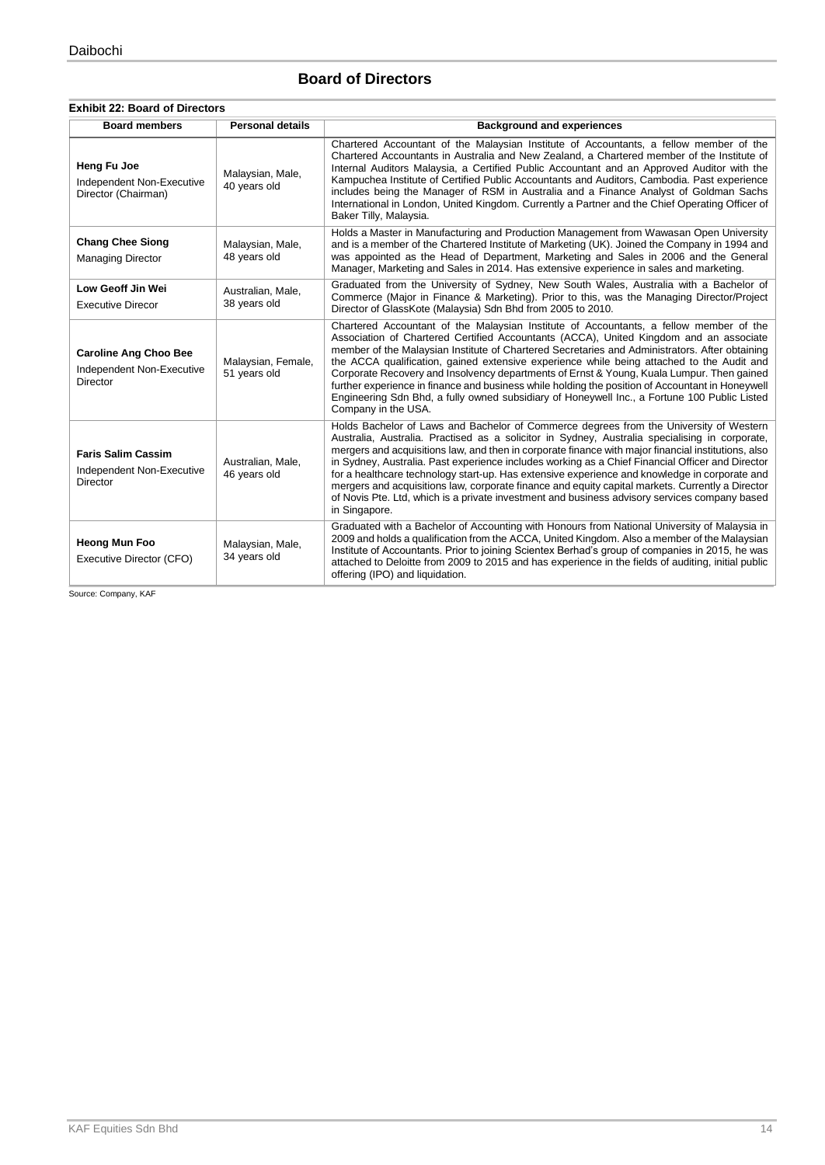#### **Board of Directors**

#### **Exhibit 22: Board of Directors**

| <b>Board members</b>                                                         | <b>Personal details</b>            | <b>Background and experiences</b>                                                                                                                                                                                                                                                                                                                                                                                                                                                                                                                                                                                                                                                                                          |
|------------------------------------------------------------------------------|------------------------------------|----------------------------------------------------------------------------------------------------------------------------------------------------------------------------------------------------------------------------------------------------------------------------------------------------------------------------------------------------------------------------------------------------------------------------------------------------------------------------------------------------------------------------------------------------------------------------------------------------------------------------------------------------------------------------------------------------------------------------|
| Heng Fu Joe<br>Independent Non-Executive<br>Director (Chairman)              | Malaysian, Male,<br>40 years old   | Chartered Accountant of the Malaysian Institute of Accountants, a fellow member of the<br>Chartered Accountants in Australia and New Zealand, a Chartered member of the Institute of<br>Internal Auditors Malaysia, a Certified Public Accountant and an Approved Auditor with the<br>Kampuchea Institute of Certified Public Accountants and Auditors, Cambodia. Past experience<br>includes being the Manager of RSM in Australia and a Finance Analyst of Goldman Sachs<br>International in London, United Kingdom. Currently a Partner and the Chief Operating Officer of<br>Baker Tilly, Malaysia.                                                                                                                    |
| <b>Chang Chee Siong</b><br><b>Managing Director</b>                          | Malaysian, Male,<br>48 years old   | Holds a Master in Manufacturing and Production Management from Wawasan Open University<br>and is a member of the Chartered Institute of Marketing (UK). Joined the Company in 1994 and<br>was appointed as the Head of Department, Marketing and Sales in 2006 and the General<br>Manager, Marketing and Sales in 2014. Has extensive experience in sales and marketing.                                                                                                                                                                                                                                                                                                                                                   |
| Low Geoff Jin Wei<br><b>Executive Direcor</b>                                | Australian, Male,<br>38 years old  | Graduated from the University of Sydney, New South Wales, Australia with a Bachelor of<br>Commerce (Major in Finance & Marketing). Prior to this, was the Managing Director/Project<br>Director of GlassKote (Malaysia) Sdn Bhd from 2005 to 2010.                                                                                                                                                                                                                                                                                                                                                                                                                                                                         |
| <b>Caroline Ang Choo Bee</b><br>Independent Non-Executive<br><b>Director</b> | Malaysian, Female,<br>51 years old | Chartered Accountant of the Malaysian Institute of Accountants, a fellow member of the<br>Association of Chartered Certified Accountants (ACCA), United Kingdom and an associate<br>member of the Malaysian Institute of Chartered Secretaries and Administrators. After obtaining<br>the ACCA qualification, gained extensive experience while being attached to the Audit and<br>Corporate Recovery and Insolvency departments of Ernst & Young, Kuala Lumpur. Then gained<br>further experience in finance and business while holding the position of Accountant in Honeywell<br>Engineering Sdn Bhd, a fully owned subsidiary of Honeywell Inc., a Fortune 100 Public Listed<br>Company in the USA.                    |
| <b>Faris Salim Cassim</b><br>Independent Non-Executive<br>Director           | Australian, Male,<br>46 years old  | Holds Bachelor of Laws and Bachelor of Commerce degrees from the University of Western<br>Australia, Australia. Practised as a solicitor in Sydney, Australia specialising in corporate,<br>mergers and acquisitions law, and then in corporate finance with major financial institutions, also<br>in Sydney, Australia. Past experience includes working as a Chief Financial Officer and Director<br>for a healthcare technology start-up. Has extensive experience and knowledge in corporate and<br>mergers and acquisitions law, corporate finance and equity capital markets. Currently a Director<br>of Novis Pte. Ltd, which is a private investment and business advisory services company based<br>in Singapore. |
| <b>Heong Mun Foo</b><br>Executive Director (CFO)                             | Malaysian, Male,<br>34 years old   | Graduated with a Bachelor of Accounting with Honours from National University of Malaysia in<br>2009 and holds a qualification from the ACCA, United Kingdom. Also a member of the Malaysian<br>Institute of Accountants. Prior to joining Scientex Berhad's group of companies in 2015, he was<br>attached to Deloitte from 2009 to 2015 and has experience in the fields of auditing, initial public<br>offering (IPO) and liquidation.                                                                                                                                                                                                                                                                                  |

Source: Company, KAF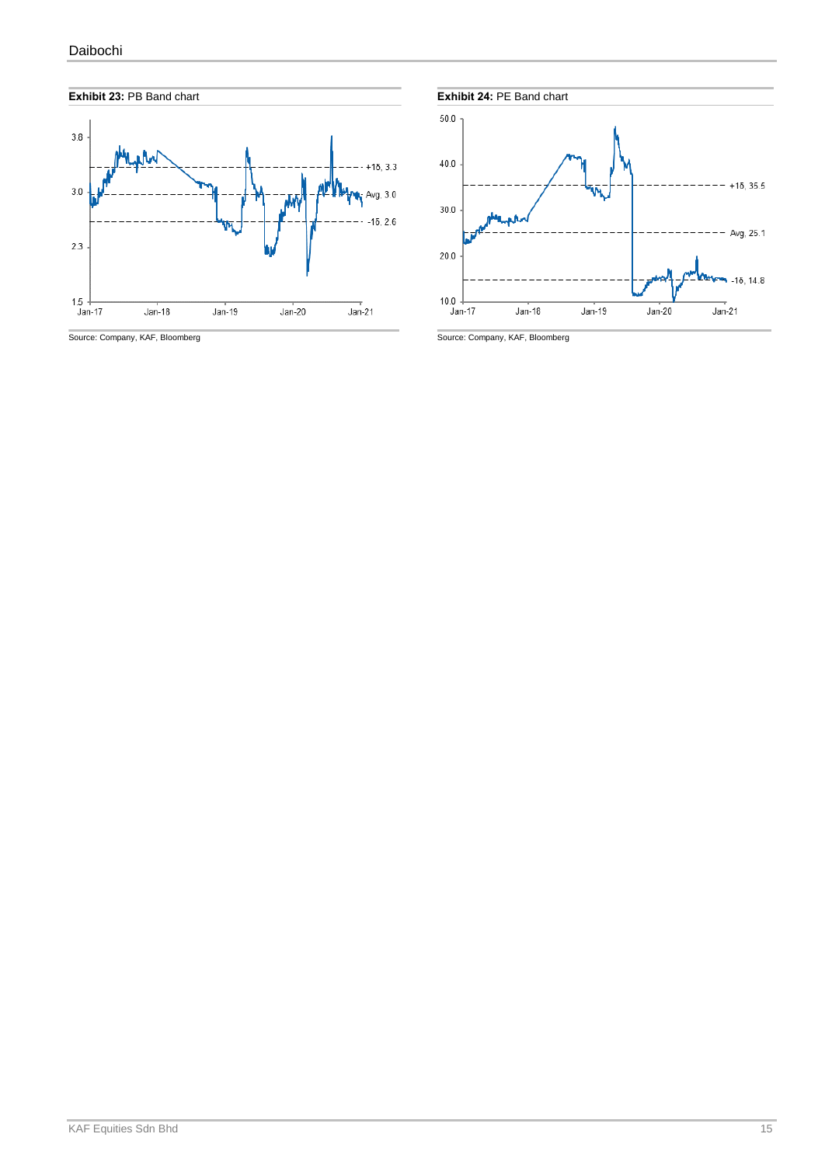

Source: Company, KAF, Bloomberg Source: Company, KAF, Bloomberg Source: Company, KAF, Bloomberg



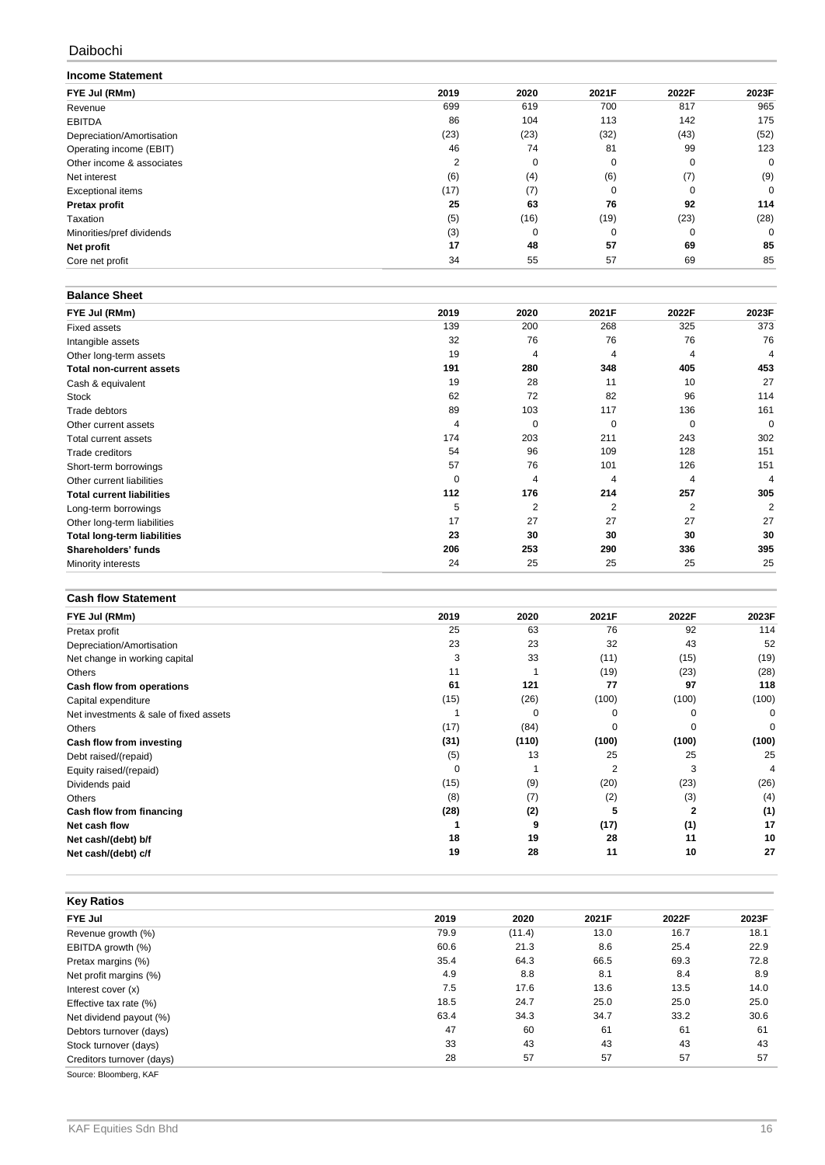#### Daibochi

| <b>Income Statement</b>   |                |      |          |             |       |
|---------------------------|----------------|------|----------|-------------|-------|
| FYE Jul (RMm)             | 2019           | 2020 | 2021F    | 2022F       | 2023F |
| Revenue                   | 699            | 619  | 700      | 817         | 965   |
| <b>EBITDA</b>             | 86             | 104  | 113      | 142         | 175   |
| Depreciation/Amortisation | (23)           | (23) | (32)     | (43)        | (52)  |
| Operating income (EBIT)   | 46             | 74   | 81       | 99          | 123   |
| Other income & associates | $\overline{2}$ | 0    | 0        | $\mathbf 0$ | 0     |
| Net interest              | (6)            | (4)  | (6)      | (7)         | (9)   |
| <b>Exceptional items</b>  | (17)           | (7)  | $\Omega$ | $\Omega$    | 0     |
| Pretax profit             | 25             | 63   | 76       | 92          | 114   |
| Taxation                  | (5)            | (16) | (19)     | (23)        | (28)  |
| Minorities/pref dividends | (3)            |      | 0        | 0           | 0     |
| Net profit                | 17             | 48   | 57       | 69          | 85    |
| Core net profit           | 34             | 55   | 57       | 69          | 85    |

#### **Balance Sheet**

| FYE Jul (RMm)                      | 2019     | 2020           | 2021F          | 2022F    | 2023F    |
|------------------------------------|----------|----------------|----------------|----------|----------|
| <b>Fixed assets</b>                | 139      | 200            | 268            | 325      | 373      |
| Intangible assets                  | 32       | 76             | 76             | 76       | 76       |
| Other long-term assets             | 19       | 4              | 4              | 4        | 4        |
| <b>Total non-current assets</b>    | 191      | 280            | 348            | 405      | 453      |
| Cash & equivalent                  | 19       | 28             | 11             | 10       | 27       |
| Stock                              | 62       | 72             | 82             | 96       | 114      |
| Trade debtors                      | 89       | 103            | 117            | 136      | 161      |
| Other current assets               | 4        | $\mathbf 0$    | 0              | $\Omega$ | $\Omega$ |
| Total current assets               | 174      | 203            | 211            | 243      | 302      |
| <b>Trade creditors</b>             | 54       | 96             | 109            | 128      | 151      |
| Short-term borrowings              | 57       | 76             | 101            | 126      | 151      |
| Other current liabilities          | $\Omega$ | 4              | 4              | 4        | 4        |
| <b>Total current liabilities</b>   | 112      | 176            | 214            | 257      | 305      |
| Long-term borrowings               | 5        | $\overline{2}$ | $\overline{2}$ | 2        | 2        |
| Other long-term liabilities        | 17       | 27             | 27             | 27       | 27       |
| <b>Total long-term liabilities</b> | 23       | 30             | 30             | 30       | 30       |
| Shareholders' funds                | 206      | 253            | 290            | 336      | 395      |
| Minority interests                 | 24       | 25             | 25             | 25       | 25       |

#### **Cash flow Statement**

| FYE Jul (RMm)                          | 2019     | 2020     | 2021F    | 2022F    | 2023F |
|----------------------------------------|----------|----------|----------|----------|-------|
| Pretax profit                          | 25       | 63       | 76       | 92       | 114   |
| Depreciation/Amortisation              | 23       | 23       | 32       | 43       | 52    |
| Net change in working capital          | 3        | 33       | (11)     | (15)     | (19)  |
| Others                                 | 11       |          | (19)     | (23)     | (28)  |
| Cash flow from operations              | 61       | 121      | 77       | 97       | 118   |
| Capital expenditure                    | (15)     | (26)     | (100)    | (100)    | (100) |
| Net investments & sale of fixed assets |          | $\Omega$ | ∩        |          | 0     |
| Others                                 | (17)     | (84)     | $\Omega$ | $\Omega$ | 0     |
| Cash flow from investing               | (31)     | (110)    | (100)    | (100)    | (100) |
| Debt raised/(repaid)                   | (5)      | 13       | 25       | 25       | 25    |
| Equity raised/(repaid)                 | $\Omega$ |          | 2        | 3        | 4     |
| Dividends paid                         | (15)     | (9)      | (20)     | (23)     | (26)  |
| Others                                 | (8)      | (7)      | (2)      | (3)      | (4)   |
| Cash flow from financing               | (28)     | (2)      | 5        | 2        | (1)   |
| Net cash flow                          |          | 9        | (17)     | (1)      | 17    |
| Net cash/(debt) b/f                    | 18       | 19       | 28       | 11       | 10    |
| Net cash/(debt) c/f                    | 19       | 28       | 11       | 10       | 27    |

| <b>Key Ratios</b>         |      |        |       |       |       |
|---------------------------|------|--------|-------|-------|-------|
| <b>FYE Jul</b>            | 2019 | 2020   | 2021F | 2022F | 2023F |
| Revenue growth (%)        | 79.9 | (11.4) | 13.0  | 16.7  | 18.1  |
| EBITDA growth (%)         | 60.6 | 21.3   | 8.6   | 25.4  | 22.9  |
| Pretax margins (%)        | 35.4 | 64.3   | 66.5  | 69.3  | 72.8  |
| Net profit margins (%)    | 4.9  | 8.8    | 8.1   | 8.4   | 8.9   |
| Interest cover (x)        | 7.5  | 17.6   | 13.6  | 13.5  | 14.0  |
| Effective tax rate (%)    | 18.5 | 24.7   | 25.0  | 25.0  | 25.0  |
| Net dividend payout (%)   | 63.4 | 34.3   | 34.7  | 33.2  | 30.6  |
| Debtors turnover (days)   | 47   | 60     | 61    | 61    | 61    |
| Stock turnover (days)     | 33   | 43     | 43    | 43    | 43    |
| Creditors turnover (days) | 28   | 57     | 57    | 57    | 57    |
| Source: Bloomberg, KAF    |      |        |       |       |       |